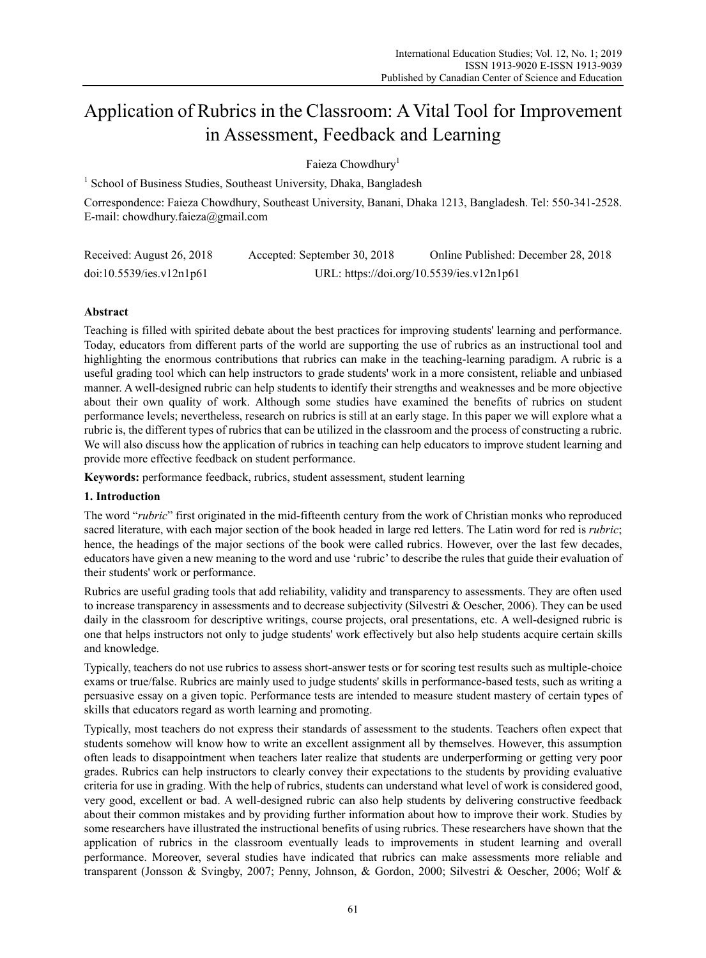# Application of Rubrics in the Classroom: A Vital Tool for Improvement in Assessment, Feedback and Learning

Faieza Chowdhury<sup>1</sup>

<sup>1</sup> School of Business Studies, Southeast University, Dhaka, Bangladesh

Correspondence: Faieza Chowdhury, Southeast University, Banani, Dhaka 1213, Bangladesh. Tel: 550-341-2528. E-mail: chowdhury.faieza@gmail.com

| Received: August 26, 2018 | Accepted: September 30, 2018 | Online Published: December 28, 2018       |
|---------------------------|------------------------------|-------------------------------------------|
| doi:10.5539/ies.v12n1p61  |                              | URL: https://doi.org/10.5539/ies.v12n1p61 |

# **Abstract**

Teaching is filled with spirited debate about the best practices for improving students' learning and performance. Today, educators from different parts of the world are supporting the use of rubrics as an instructional tool and highlighting the enormous contributions that rubrics can make in the teaching-learning paradigm. A rubric is a useful grading tool which can help instructors to grade students' work in a more consistent, reliable and unbiased manner. A well-designed rubric can help students to identify their strengths and weaknesses and be more objective about their own quality of work. Although some studies have examined the benefits of rubrics on student performance levels; nevertheless, research on rubrics is still at an early stage. In this paper we will explore what a rubric is, the different types of rubrics that can be utilized in the classroom and the process of constructing a rubric. We will also discuss how the application of rubrics in teaching can help educators to improve student learning and provide more effective feedback on student performance.

**Keywords:** performance feedback, rubrics, student assessment, student learning

## **1. Introduction**

The word "*rubric*" first originated in the mid-fifteenth century from the work of Christian monks who reproduced sacred literature, with each major section of the book headed in large red letters. The Latin word for red is *rubric*; hence, the headings of the major sections of the book were called rubrics. However, over the last few decades, educators have given a new meaning to the word and use 'rubric' to describe the rules that guide their evaluation of their students' work or performance.

Rubrics are useful grading tools that add reliability, validity and transparency to assessments. They are often used to increase transparency in assessments and to decrease subjectivity (Silvestri & Oescher, 2006). They can be used daily in the classroom for descriptive writings, course projects, oral presentations, etc. A well-designed rubric is one that helps instructors not only to judge students' work effectively but also help students acquire certain skills and knowledge.

Typically, teachers do not use rubrics to assess short-answer tests or for scoring test results such as multiple-choice exams or true/false. Rubrics are mainly used to judge students' skills in performance-based tests, such as writing a persuasive essay on a given topic. Performance tests are intended to measure student mastery of certain types of skills that educators regard as worth learning and promoting.

Typically, most teachers do not express their standards of assessment to the students. Teachers often expect that students somehow will know how to write an excellent assignment all by themselves. However, this assumption often leads to disappointment when teachers later realize that students are underperforming or getting very poor grades. Rubrics can help instructors to clearly convey their expectations to the students by providing evaluative criteria for use in grading. With the help of rubrics, students can understand what level of work is considered good, very good, excellent or bad. A well-designed rubric can also help students by delivering constructive feedback about their common mistakes and by providing further information about how to improve their work. Studies by some researchers have illustrated the instructional benefits of using rubrics. These researchers have shown that the application of rubrics in the classroom eventually leads to improvements in student learning and overall performance. Moreover, several studies have indicated that rubrics can make assessments more reliable and transparent (Jonsson & Svingby, 2007; Penny, Johnson, & Gordon, 2000; Silvestri & Oescher, 2006; Wolf &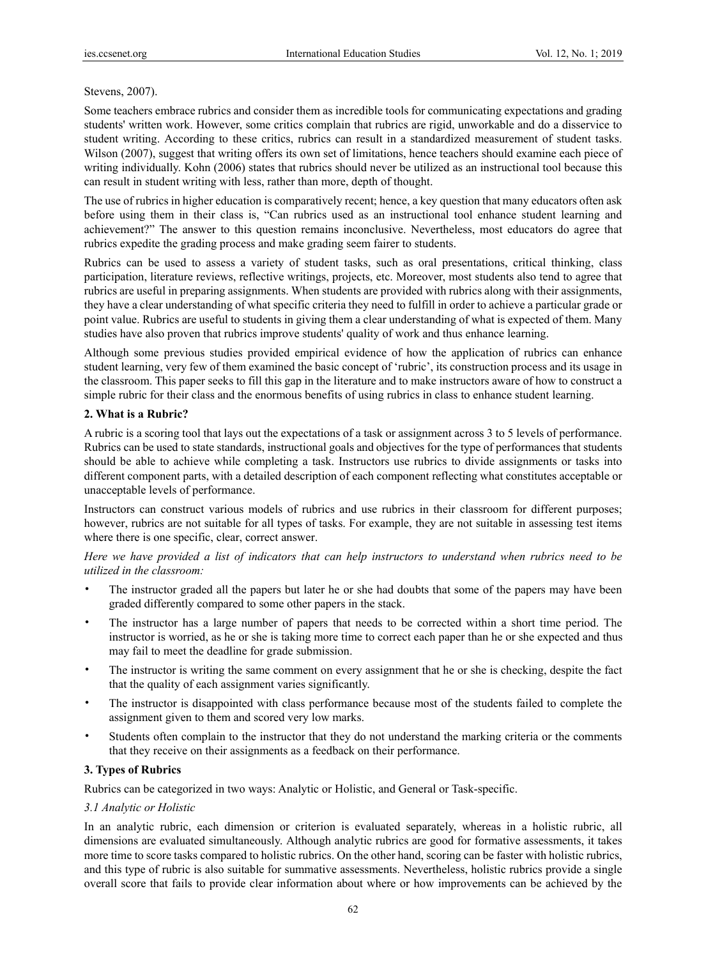#### Stevens, 2007).

Some teachers embrace rubrics and consider them as incredible tools for communicating expectations and grading students' written work. However, some critics complain that rubrics are rigid, unworkable and do a disservice to student writing. According to these critics, rubrics can result in a standardized measurement of student tasks. Wilson (2007), suggest that writing offers its own set of limitations, hence teachers should examine each piece of writing individually. Kohn (2006) states that rubrics should never be utilized as an instructional tool because this can result in student writing with less, rather than more, depth of thought.

The use of rubrics in higher education is comparatively recent; hence, a key question that many educators often ask before using them in their class is, "Can rubrics used as an instructional tool enhance student learning and achievement?" The answer to this question remains inconclusive. Nevertheless, most educators do agree that rubrics expedite the grading process and make grading seem fairer to students.

Rubrics can be used to assess a variety of student tasks, such as oral presentations, critical thinking, class participation, literature reviews, reflective writings, projects, etc. Moreover, most students also tend to agree that rubrics are useful in preparing assignments. When students are provided with rubrics along with their assignments, they have a clear understanding of what specific criteria they need to fulfill in order to achieve a particular grade or point value. Rubrics are useful to students in giving them a clear understanding of what is expected of them. Many studies have also proven that rubrics improve students' quality of work and thus enhance learning.

Although some previous studies provided empirical evidence of how the application of rubrics can enhance student learning, very few of them examined the basic concept of 'rubric', its construction process and its usage in the classroom. This paper seeks to fill this gap in the literature and to make instructors aware of how to construct a simple rubric for their class and the enormous benefits of using rubrics in class to enhance student learning.

## **2. What is a Rubric?**

A rubric is a scoring tool that lays out the expectations of a task or assignment across 3 to 5 levels of performance. Rubrics can be used to state standards, instructional goals and objectives for the type of performances that students should be able to achieve while completing a task. Instructors use rubrics to divide assignments or tasks into different component parts, with a detailed description of each component reflecting what constitutes acceptable or unacceptable levels of performance.

Instructors can construct various models of rubrics and use rubrics in their classroom for different purposes; however, rubrics are not suitable for all types of tasks. For example, they are not suitable in assessing test items where there is one specific, clear, correct answer.

*Here we have provided a list of indicators that can help instructors to understand when rubrics need to be utilized in the classroom:* 

- The instructor graded all the papers but later he or she had doubts that some of the papers may have been graded differently compared to some other papers in the stack.
- The instructor has a large number of papers that needs to be corrected within a short time period. The instructor is worried, as he or she is taking more time to correct each paper than he or she expected and thus may fail to meet the deadline for grade submission.
- The instructor is writing the same comment on every assignment that he or she is checking, despite the fact that the quality of each assignment varies significantly.
- The instructor is disappointed with class performance because most of the students failed to complete the assignment given to them and scored very low marks.
- Students often complain to the instructor that they do not understand the marking criteria or the comments that they receive on their assignments as a feedback on their performance.

## **3. Types of Rubrics**

Rubrics can be categorized in two ways: Analytic or Holistic, and General or Task-specific.

## *3.1 Analytic or Holistic*

In an analytic rubric, each dimension or criterion is evaluated separately, whereas in a holistic rubric, all dimensions are evaluated simultaneously. Although analytic rubrics are good for formative assessments, it takes more time to score tasks compared to holistic rubrics. On the other hand, scoring can be faster with holistic rubrics, and this type of rubric is also suitable for summative assessments. Nevertheless, holistic rubrics provide a single overall score that fails to provide clear information about where or how improvements can be achieved by the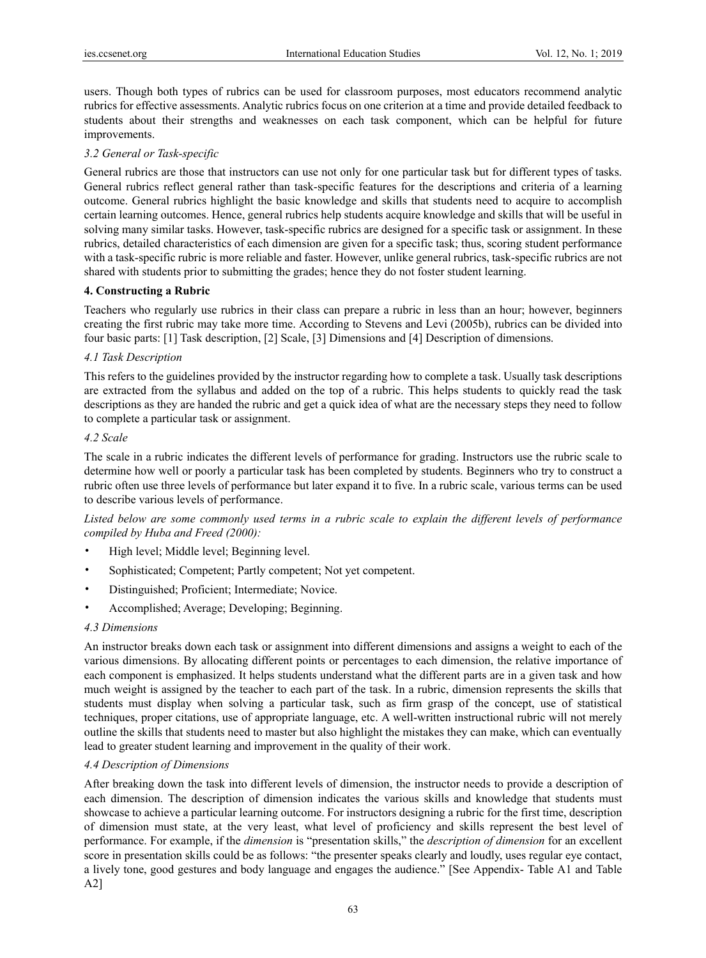users. Though both types of rubrics can be used for classroom purposes, most educators recommend analytic rubrics for effective assessments. Analytic rubrics focus on one criterion at a time and provide detailed feedback to students about their strengths and weaknesses on each task component, which can be helpful for future improvements.

## *3.2 General or Task-specific*

General rubrics are those that instructors can use not only for one particular task but for different types of tasks. General rubrics reflect general rather than task-specific features for the descriptions and criteria of a learning outcome. General rubrics highlight the basic knowledge and skills that students need to acquire to accomplish certain learning outcomes. Hence, general rubrics help students acquire knowledge and skills that will be useful in solving many similar tasks. However, task-specific rubrics are designed for a specific task or assignment. In these rubrics, detailed characteristics of each dimension are given for a specific task; thus, scoring student performance with a task-specific rubric is more reliable and faster. However, unlike general rubrics, task-specific rubrics are not shared with students prior to submitting the grades; hence they do not foster student learning.

## **4. Constructing a Rubric**

Teachers who regularly use rubrics in their class can prepare a rubric in less than an hour; however, beginners creating the first rubric may take more time. According to Stevens and Levi (2005b), rubrics can be divided into four basic parts: [1] Task description, [2] Scale, [3] Dimensions and [4] Description of dimensions.

## *4.1 Task Description*

This refers to the guidelines provided by the instructor regarding how to complete a task. Usually task descriptions are extracted from the syllabus and added on the top of a rubric. This helps students to quickly read the task descriptions as they are handed the rubric and get a quick idea of what are the necessary steps they need to follow to complete a particular task or assignment.

## *4.2 Scale*

The scale in a rubric indicates the different levels of performance for grading. Instructors use the rubric scale to determine how well or poorly a particular task has been completed by students. Beginners who try to construct a rubric often use three levels of performance but later expand it to five. In a rubric scale, various terms can be used to describe various levels of performance.

*Listed below are some commonly used terms in a rubric scale to explain the different levels of performance compiled by Huba and Freed (2000):* 

- High level; Middle level; Beginning level.
- Sophisticated; Competent; Partly competent; Not yet competent.
- Distinguished; Proficient; Intermediate; Novice.
- Accomplished; Average; Developing; Beginning.

## *4.3 Dimensions*

An instructor breaks down each task or assignment into different dimensions and assigns a weight to each of the various dimensions. By allocating different points or percentages to each dimension, the relative importance of each component is emphasized. It helps students understand what the different parts are in a given task and how much weight is assigned by the teacher to each part of the task. In a rubric, dimension represents the skills that students must display when solving a particular task, such as firm grasp of the concept, use of statistical techniques, proper citations, use of appropriate language, etc. A well-written instructional rubric will not merely outline the skills that students need to master but also highlight the mistakes they can make, which can eventually lead to greater student learning and improvement in the quality of their work.

## *4.4 Description of Dimensions*

After breaking down the task into different levels of dimension, the instructor needs to provide a description of each dimension. The description of dimension indicates the various skills and knowledge that students must showcase to achieve a particular learning outcome. For instructors designing a rubric for the first time, description of dimension must state, at the very least, what level of proficiency and skills represent the best level of performance. For example, if the *dimension* is "presentation skills," the *description of dimension* for an excellent score in presentation skills could be as follows: "the presenter speaks clearly and loudly, uses regular eye contact, a lively tone, good gestures and body language and engages the audience." [See Appendix- Table A1 and Table A2]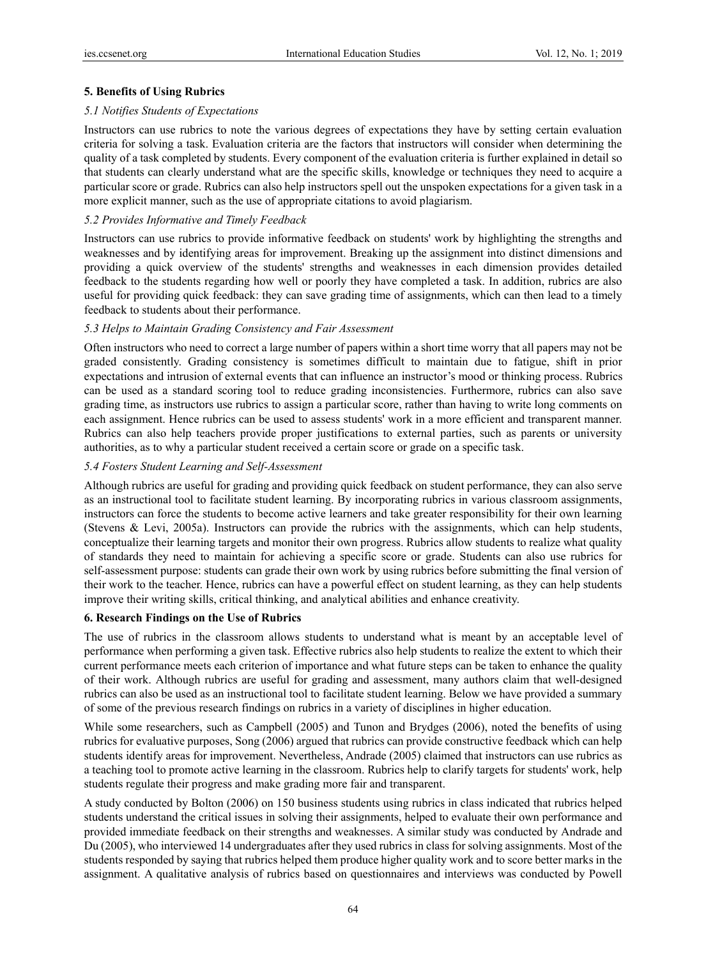## **5. Benefits of Using Rubrics**

#### *5.1 Notifies Students of Expectations*

Instructors can use rubrics to note the various degrees of expectations they have by setting certain evaluation criteria for solving a task. Evaluation criteria are the factors that instructors will consider when determining the quality of a task completed by students. Every component of the evaluation criteria is further explained in detail so that students can clearly understand what are the specific skills, knowledge or techniques they need to acquire a particular score or grade. Rubrics can also help instructors spell out the unspoken expectations for a given task in a more explicit manner, such as the use of appropriate citations to avoid plagiarism.

## *5.2 Provides Informative and Timely Feedback*

Instructors can use rubrics to provide informative feedback on students' work by highlighting the strengths and weaknesses and by identifying areas for improvement. Breaking up the assignment into distinct dimensions and providing a quick overview of the students' strengths and weaknesses in each dimension provides detailed feedback to the students regarding how well or poorly they have completed a task. In addition, rubrics are also useful for providing quick feedback: they can save grading time of assignments, which can then lead to a timely feedback to students about their performance.

#### *5.3 Helps to Maintain Grading Consistency and Fair Assessment*

Often instructors who need to correct a large number of papers within a short time worry that all papers may not be graded consistently. Grading consistency is sometimes difficult to maintain due to fatigue, shift in prior expectations and intrusion of external events that can influence an instructor's mood or thinking process. Rubrics can be used as a standard scoring tool to reduce grading inconsistencies. Furthermore, rubrics can also save grading time, as instructors use rubrics to assign a particular score, rather than having to write long comments on each assignment. Hence rubrics can be used to assess students' work in a more efficient and transparent manner. Rubrics can also help teachers provide proper justifications to external parties, such as parents or university authorities, as to why a particular student received a certain score or grade on a specific task.

#### *5.4 Fosters Student Learning and Self-Assessment*

Although rubrics are useful for grading and providing quick feedback on student performance, they can also serve as an instructional tool to facilitate student learning. By incorporating rubrics in various classroom assignments, instructors can force the students to become active learners and take greater responsibility for their own learning (Stevens & Levi, 2005a). Instructors can provide the rubrics with the assignments, which can help students, conceptualize their learning targets and monitor their own progress. Rubrics allow students to realize what quality of standards they need to maintain for achieving a specific score or grade. Students can also use rubrics for self-assessment purpose: students can grade their own work by using rubrics before submitting the final version of their work to the teacher. Hence, rubrics can have a powerful effect on student learning, as they can help students improve their writing skills, critical thinking, and analytical abilities and enhance creativity.

## **6. Research Findings on the Use of Rubrics**

The use of rubrics in the classroom allows students to understand what is meant by an acceptable level of performance when performing a given task. Effective rubrics also help students to realize the extent to which their current performance meets each criterion of importance and what future steps can be taken to enhance the quality of their work. Although rubrics are useful for grading and assessment, many authors claim that well-designed rubrics can also be used as an instructional tool to facilitate student learning. Below we have provided a summary of some of the previous research findings on rubrics in a variety of disciplines in higher education.

While some researchers, such as Campbell (2005) and Tunon and Brydges (2006), noted the benefits of using rubrics for evaluative purposes, Song (2006) argued that rubrics can provide constructive feedback which can help students identify areas for improvement. Nevertheless, Andrade (2005) claimed that instructors can use rubrics as a teaching tool to promote active learning in the classroom. Rubrics help to clarify targets for students' work, help students regulate their progress and make grading more fair and transparent.

A study conducted by Bolton (2006) on 150 business students using rubrics in class indicated that rubrics helped students understand the critical issues in solving their assignments, helped to evaluate their own performance and provided immediate feedback on their strengths and weaknesses. A similar study was conducted by Andrade and Du (2005), who interviewed 14 undergraduates after they used rubrics in class for solving assignments. Most of the students responded by saying that rubrics helped them produce higher quality work and to score better marks in the assignment. A qualitative analysis of rubrics based on questionnaires and interviews was conducted by Powell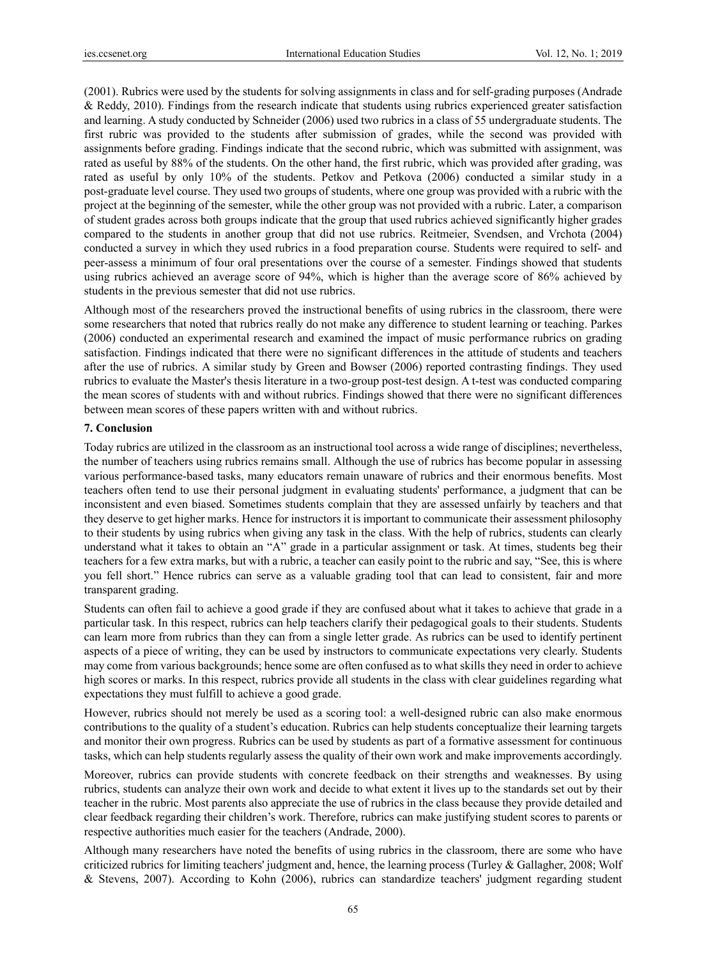(2001). Rubrics were used by the students for solving assignments in class and for self-grading purposes (Andrade & Reddy, 2010). Findings from the research indicate that students using rubrics experienced greater satisfaction and learning. A study conducted by Schneider (2006) used two rubrics in a class of 55 undergraduate students. The first rubric was provided to the students after submission of grades, while the second was provided with assignments before grading. Findings indicate that the second rubric, which was submitted with assignment, was rated as useful by 88% of the students. On the other hand, the first rubric, which was provided after grading, was rated as useful by only 10% of the students. Petkov and Petkova (2006) conducted a similar study in a post-graduate level course. They used two groups of students, where one group was provided with a rubric with the project at the beginning of the semester, while the other group was not provided with a rubric. Later, a comparison of student grades across both groups indicate that the group that used rubrics achieved significantly higher grades compared to the students in another group that did not use rubrics. Reitmeier, Svendsen, and Vrchota (2004) conducted a survey in which they used rubrics in a food preparation course. Students were required to self- and peer-assess a minimum of four oral presentations over the course of a semester. Findings showed that students using rubrics achieved an average score of 94%, which is higher than the average score of 86% achieved by students in the previous semester that did not use rubrics.

Although most of the researchers proved the instructional benefits of using rubrics in the classroom, there were some researchers that noted that rubrics really do not make any difference to student learning or teaching. Parkes (2006) conducted an experimental research and examined the impact of music performance rubrics on grading satisfaction. Findings indicated that there were no significant differences in the attitude of students and teachers after the use of rubrics. A similar study by Green and Bowser (2006) reported contrasting findings. They used rubrics to evaluate the Master's thesis literature in a two-group post-test design. A t-test was conducted comparing the mean scores of students with and without rubrics. Findings showed that there were no significant differences between mean scores of these papers written with and without rubrics.

#### **7. Conclusion**

Today rubrics are utilized in the classroom as an instructional tool across a wide range of disciplines; nevertheless, the number of teachers using rubrics remains small. Although the use of rubrics has become popular in assessing various performance-based tasks, many educators remain unaware of rubrics and their enormous benefits. Most teachers often tend to use their personal judgment in evaluating students' performance, a judgment that can be inconsistent and even biased. Sometimes students complain that they are assessed unfairly by teachers and that they deserve to get higher marks. Hence for instructors it is important to communicate their assessment philosophy to their students by using rubrics when giving any task in the class. With the help of rubrics, students can clearly understand what it takes to obtain an "A" grade in a particular assignment or task. At times, students beg their teachers for a few extra marks, but with a rubric, a teacher can easily point to the rubric and say, "See, this is where you fell short." Hence rubrics can serve as a valuable grading tool that can lead to consistent, fair and more transparent grading.

Students can often fail to achieve a good grade if they are confused about what it takes to achieve that grade in a particular task. In this respect, rubrics can help teachers clarify their pedagogical goals to their students. Students can learn more from rubrics than they can from a single letter grade. As rubrics can be used to identify pertinent aspects of a piece of writing, they can be used by instructors to communicate expectations very clearly. Students may come from various backgrounds; hence some are often confused as to what skills they need in order to achieve high scores or marks. In this respect, rubrics provide all students in the class with clear guidelines regarding what expectations they must fulfill to achieve a good grade.

However, rubrics should not merely be used as a scoring tool: a well-designed rubric can also make enormous contributions to the quality of a student's education. Rubrics can help students conceptualize their learning targets and monitor their own progress. Rubrics can be used by students as part of a formative assessment for continuous tasks, which can help students regularly assess the quality of their own work and make improvements accordingly.

Moreover, rubrics can provide students with concrete feedback on their strengths and weaknesses. By using rubrics, students can analyze their own work and decide to what extent it lives up to the standards set out by their teacher in the rubric. Most parents also appreciate the use of rubrics in the class because they provide detailed and clear feedback regarding their children's work. Therefore, rubrics can make justifying student scores to parents or respective authorities much easier for the teachers (Andrade, 2000).

Although many researchers have noted the benefits of using rubrics in the classroom, there are some who have criticized rubrics for limiting teachers' judgment and, hence, the learning process (Turley  $\&$  Gallagher, 2008; Wolf & Stevens, 2007). According to Kohn (2006), rubrics can standardize teachers' judgment regarding student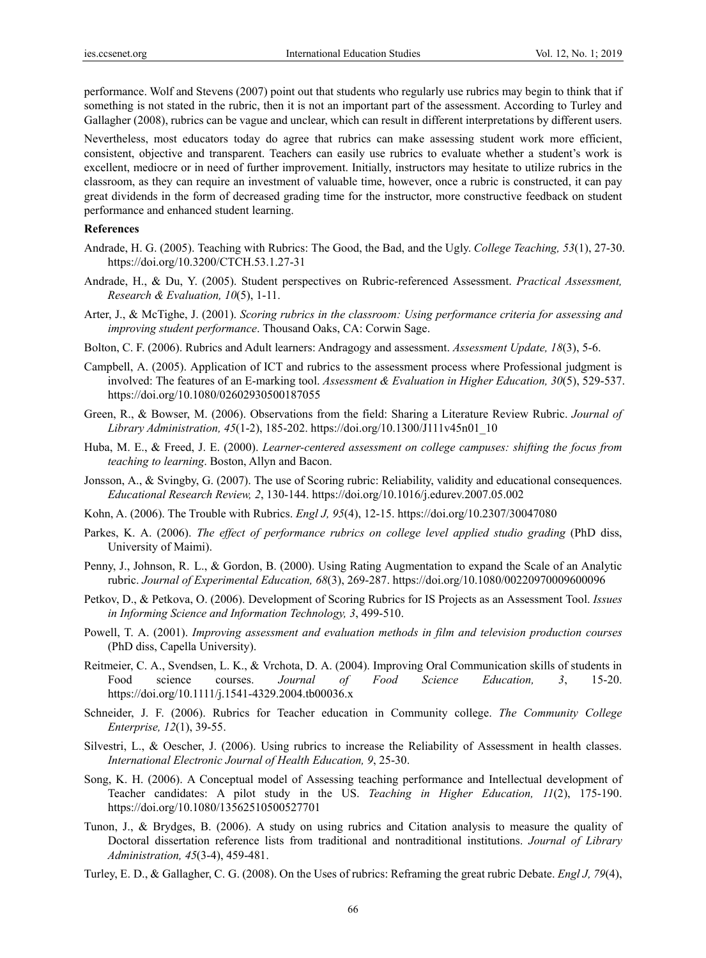performance. Wolf and Stevens (2007) point out that students who regularly use rubrics may begin to think that if something is not stated in the rubric, then it is not an important part of the assessment. According to Turley and Gallagher (2008), rubrics can be vague and unclear, which can result in different interpretations by different users.

Nevertheless, most educators today do agree that rubrics can make assessing student work more efficient, consistent, objective and transparent. Teachers can easily use rubrics to evaluate whether a student's work is excellent, mediocre or in need of further improvement. Initially, instructors may hesitate to utilize rubrics in the classroom, as they can require an investment of valuable time, however, once a rubric is constructed, it can pay great dividends in the form of decreased grading time for the instructor, more constructive feedback on student performance and enhanced student learning.

#### **References**

- Andrade, H. G. (2005). Teaching with Rubrics: The Good, the Bad, and the Ugly. *College Teaching, 53*(1), 27-30. https://doi.org/10.3200/CTCH.53.1.27-31
- Andrade, H., & Du, Y. (2005). Student perspectives on Rubric-referenced Assessment. *Practical Assessment, Research & Evaluation, 10*(5), 1-11.
- Arter, J., & McTighe, J. (2001). *Scoring rubrics in the classroom: Using performance criteria for assessing and improving student performance*. Thousand Oaks, CA: Corwin Sage.
- Bolton, C. F. (2006). Rubrics and Adult learners: Andragogy and assessment. *Assessment Update, 18*(3), 5-6.
- Campbell, A. (2005). Application of ICT and rubrics to the assessment process where Professional judgment is involved: The features of an E-marking tool. *Assessment & Evaluation in Higher Education, 30*(5), 529-537. https://doi.org/10.1080/02602930500187055
- Green, R., & Bowser, M. (2006). Observations from the field: Sharing a Literature Review Rubric. *Journal of Library Administration, 45*(1-2), 185-202. https://doi.org/10.1300/J111v45n01\_10
- Huba, M. E., & Freed, J. E. (2000). *Learner-centered assessment on college campuses: shifting the focus from teaching to learning*. Boston, Allyn and Bacon.
- Jonsson, A., & Svingby, G. (2007). The use of Scoring rubric: Reliability, validity and educational consequences. *Educational Research Review, 2*, 130-144. https://doi.org/10.1016/j.edurev.2007.05.002
- Kohn, A. (2006). The Trouble with Rubrics. *Engl J, 95*(4), 12-15. https://doi.org/10.2307/30047080
- Parkes, K. A. (2006). *The effect of performance rubrics on college level applied studio grading* (PhD diss, University of Maimi).
- Penny, J., Johnson, R. L., & Gordon, B. (2000). Using Rating Augmentation to expand the Scale of an Analytic rubric. *Journal of Experimental Education, 68*(3), 269-287. https://doi.org/10.1080/00220970009600096
- Petkov, D., & Petkova, O. (2006). Development of Scoring Rubrics for IS Projects as an Assessment Tool. *Issues in Informing Science and Information Technology, 3*, 499-510.
- Powell, T. A. (2001). *Improving assessment and evaluation methods in film and television production courses* (PhD diss, Capella University).
- Reitmeier, C. A., Svendsen, L. K., & Vrchota, D. A. (2004). Improving Oral Communication skills of students in Food science courses. *Journal of Food Science Education, 3*, 15-20. https://doi.org/10.1111/j.1541-4329.2004.tb00036.x
- Schneider, J. F. (2006). Rubrics for Teacher education in Community college. *The Community College Enterprise, 12*(1), 39-55.
- Silvestri, L., & Oescher, J. (2006). Using rubrics to increase the Reliability of Assessment in health classes. *International Electronic Journal of Health Education, 9*, 25-30.
- Song, K. H. (2006). A Conceptual model of Assessing teaching performance and Intellectual development of Teacher candidates: A pilot study in the US. *Teaching in Higher Education, 11*(2), 175-190. https://doi.org/10.1080/13562510500527701
- Tunon, J., & Brydges, B. (2006). A study on using rubrics and Citation analysis to measure the quality of Doctoral dissertation reference lists from traditional and nontraditional institutions. *Journal of Library Administration, 45*(3-4), 459-481.
- Turley, E. D., & Gallagher, C. G. (2008). On the Uses of rubrics: Reframing the great rubric Debate. *Engl J, 79*(4),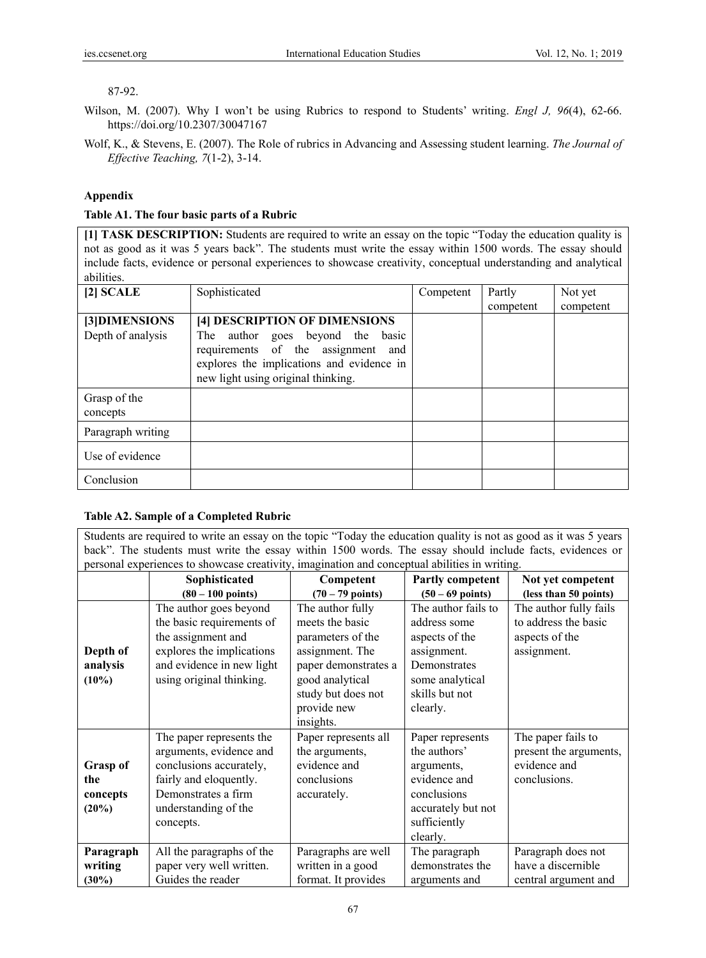## 87-92.

- Wilson, M. (2007). Why I won't be using Rubrics to respond to Students' writing. *Engl J, 96*(4), 62-66. https://doi.org/10.2307/30047167
- Wolf, K., & Stevens, E. (2007). The Role of rubrics in Advancing and Assessing student learning. *The Journal of Effective Teaching, 7*(1-2), 3-14.

# **Appendix**

## **Table A1. The four basic parts of a Rubric**

**[1] TASK DESCRIPTION:** Students are required to write an essay on the topic "Today the education quality is not as good as it was 5 years back". The students must write the essay within 1500 words. The essay should include facts, evidence or personal experiences to showcase creativity, conceptual understanding and analytical abilities.

| $[2]$ SCALE                        | Sophisticated                                                                                                                                                                              | Competent | Partly    | Not yet   |
|------------------------------------|--------------------------------------------------------------------------------------------------------------------------------------------------------------------------------------------|-----------|-----------|-----------|
|                                    |                                                                                                                                                                                            |           | competent | competent |
| [3]DIMENSIONS<br>Depth of analysis | [4] DESCRIPTION OF DIMENSIONS<br>The author goes beyond the basic<br>requirements of the assignment and<br>explores the implications and evidence in<br>new light using original thinking. |           |           |           |
| Grasp of the<br>concepts           |                                                                                                                                                                                            |           |           |           |
| Paragraph writing                  |                                                                                                                                                                                            |           |           |           |
| Use of evidence                    |                                                                                                                                                                                            |           |           |           |
| Conclusion                         |                                                                                                                                                                                            |           |           |           |

# **Table A2. Sample of a Completed Rubric**

Students are required to write an essay on the topic "Today the education quality is not as good as it was 5 years back". The students must write the essay within 1500 words. The essay should include facts, evidences or personal experiences to showcase creativity, imagination and conceptual abilities in writing.

|                 | Sophisticated               | Competent                  | Partly competent           | Not yet competent      |
|-----------------|-----------------------------|----------------------------|----------------------------|------------------------|
|                 | $(80 - 100 \text{ points})$ | $(70 - 79 \text{ points})$ | $(50 - 69 \text{ points})$ | (less than 50 points)  |
|                 | The author goes beyond      | The author fully           | The author fails to        | The author fully fails |
|                 | the basic requirements of   | meets the basic            | address some               | to address the basic   |
|                 | the assignment and          | parameters of the          | aspects of the             | aspects of the         |
| Depth of        | explores the implications   | assignment. The            | assignment.                | assignment.            |
| analysis        | and evidence in new light   | paper demonstrates a       | Demonstrates               |                        |
| $(10\%)$        | using original thinking.    | good analytical            | some analytical            |                        |
|                 |                             | study but does not         | skills but not             |                        |
|                 |                             | provide new                | clearly.                   |                        |
|                 |                             | insights.                  |                            |                        |
|                 | The paper represents the    | Paper represents all       | Paper represents           | The paper fails to     |
|                 | arguments, evidence and     | the arguments,             | the authors'               | present the arguments, |
| <b>Grasp of</b> | conclusions accurately,     | evidence and               | arguments,                 | evidence and           |
| the             | fairly and eloquently.      | conclusions                | evidence and               | conclusions.           |
| concepts        | Demonstrates a firm         | accurately.                | conclusions                |                        |
| (20%)           | understanding of the        |                            | accurately but not         |                        |
|                 | concepts.                   |                            | sufficiently               |                        |
|                 |                             |                            | clearly.                   |                        |
| Paragraph       | All the paragraphs of the   | Paragraphs are well        | The paragraph              | Paragraph does not     |
| writing         | paper very well written.    | written in a good          | demonstrates the           | have a discernible     |
| $(30\%)$        | Guides the reader           | format. It provides        | arguments and              | central argument and   |